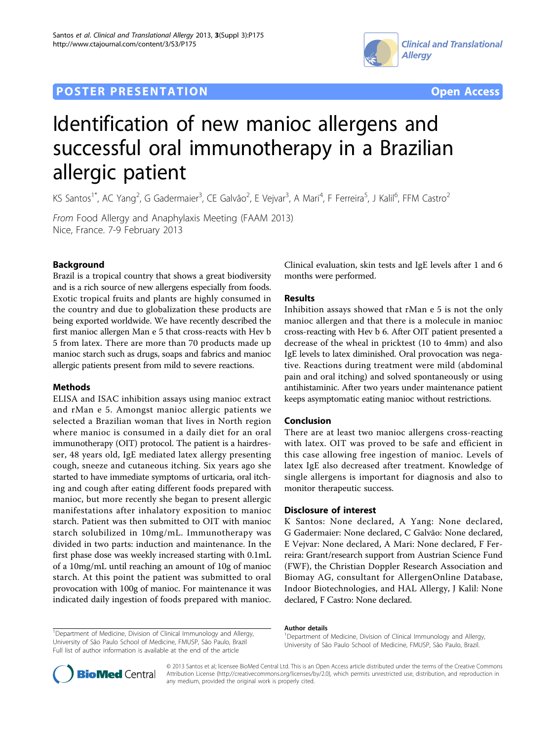# **POSTER PRESENTATION CONSUMING THE SERVICE SERVICE SERVICE SERVICES**





# Identification of new manioc allergens and successful oral immunotherapy in a Brazilian allergic patient

KS Santos<sup>1\*</sup>, AC Yang<sup>2</sup>, G Gadermaier<sup>3</sup>, CE Galvão<sup>2</sup>, E Vejvar<sup>3</sup>, A Mari<sup>4</sup>, F Ferreira<sup>5</sup>, J Kalil<sup>6</sup>, FFM Castro<sup>2</sup>

From Food Allergy and Anaphylaxis Meeting (FAAM 2013) Nice, France. 7-9 February 2013

## Background

Brazil is a tropical country that shows a great biodiversity and is a rich source of new allergens especially from foods. Exotic tropical fruits and plants are highly consumed in the country and due to globalization these products are being exported worldwide. We have recently described the first manioc allergen Man e 5 that cross-reacts with Hev b 5 from latex. There are more than 70 products made up manioc starch such as drugs, soaps and fabrics and manioc allergic patients present from mild to severe reactions.

#### Methods

ELISA and ISAC inhibition assays using manioc extract and rMan e 5. Amongst manioc allergic patients we selected a Brazilian woman that lives in North region where manioc is consumed in a daily diet for an oral immunotherapy (OIT) protocol. The patient is a hairdresser, 48 years old, IgE mediated latex allergy presenting cough, sneeze and cutaneous itching. Six years ago she started to have immediate symptoms of urticaria, oral itching and cough after eating different foods prepared with manioc, but more recently she began to present allergic manifestations after inhalatory exposition to manioc starch. Patient was then submitted to OIT with manioc starch solubilized in 10mg/mL. Immunotherapy was divided in two parts: induction and maintenance. In the first phase dose was weekly increased starting with 0.1mL of a 10mg/mL until reaching an amount of 10g of manioc starch. At this point the patient was submitted to oral provocation with 100g of manioc. For maintenance it was indicated daily ingestion of foods prepared with manioc.

Clinical evaluation, skin tests and IgE levels after 1 and 6 months were performed.

### Results

Inhibition assays showed that rMan e 5 is not the only manioc allergen and that there is a molecule in manioc cross-reacting with Hev b 6. After OIT patient presented a decrease of the wheal in pricktest (10 to 4mm) and also IgE levels to latex diminished. Oral provocation was negative. Reactions during treatment were mild (abdominal pain and oral itching) and solved spontaneously or using antihistaminic. After two years under maintenance patient keeps asymptomatic eating manioc without restrictions.

#### Conclusion

There are at least two manioc allergens cross-reacting with latex. OIT was proved to be safe and efficient in this case allowing free ingestion of manioc. Levels of latex IgE also decreased after treatment. Knowledge of single allergens is important for diagnosis and also to monitor therapeutic success.

#### Disclosure of interest

K Santos: None declared, A Yang: None declared, G Gadermaier: None declared, C Galvão: None declared, E Vejvar: None declared, A Mari: None declared, F Ferreira: Grant/research support from Austrian Science Fund (FWF), the Christian Doppler Research Association and Biomay AG, consultant for AllergenOnline Database, Indoor Biotechnologies, and HAL Allergy, J Kalil: None declared, F Castro: None declared.

#### Author details

<sup>1</sup>Department of Medicine, Division of Clinical Immunology and Allergy University of São Paulo School of Medicine, FMUSP, São Paulo, Brazil.



© 2013 Santos et al; licensee BioMed Central Ltd. This is an Open Access article distributed under the terms of the Creative Commons Attribution License [\(http://creativecommons.org/licenses/by/2.0](http://creativecommons.org/licenses/by/2.0)), which permits unrestricted use, distribution, and reproduction in any medium, provided the original work is properly cited.

<sup>&</sup>lt;sup>1</sup>Department of Medicine, Division of Clinical Immunology and Allergy, University of São Paulo School of Medicine, FMUSP, São Paulo, Brazil Full list of author information is available at the end of the article